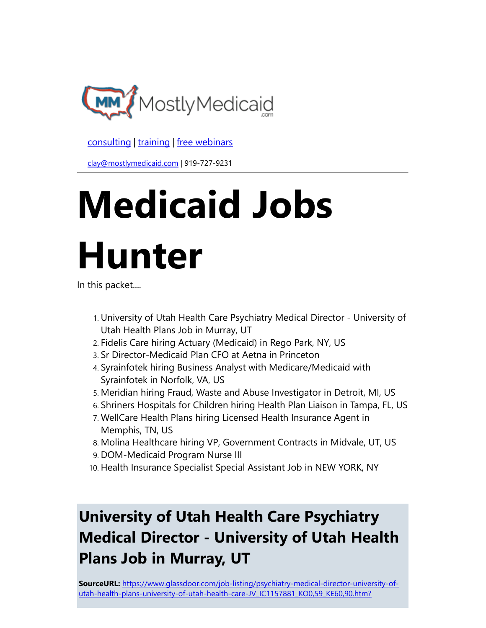

[consulting](http://bit.ly/2L815p0) | [training](http://bit.ly/2zL1l4r) | [free webinars](http://bit.ly/2ccl593) 

[clay@mostlymedicaid.com](mailto:clay@mostlymedicaid.com) | 919-727-9231

# Medicaid Jobs Hunter

In this packet....

- 1. University of Utah Health Care Psychiatry Medical Director University of Utah Health Plans Job in Murray, UT
- 2. Fidelis Care hiring Actuary (Medicaid) in Rego Park, NY, US
- 3. Sr Director-Medicaid Plan CFO at Aetna in Princeton
- 4. Syrainfotek hiring Business Analyst with Medicare/Medicaid with Syrainfotek in Norfolk, VA, US
- 5. Meridian hiring Fraud, Waste and Abuse Investigator in Detroit, MI, US
- 6. Shriners Hospitals for Children hiring Health Plan Liaison in Tampa, FL, US
- 7. WellCare Health Plans hiring Licensed Health Insurance Agent in Memphis, TN, US
- 8. Molina Healthcare hiring VP, Government Contracts in Midvale, UT, US
- 9. DOM-Medicaid Program Nurse III
- 10. Health Insurance Specialist Special Assistant Job in NEW YORK, NY

# University of Utah Health Care Psychiatry Medical Director - University of Utah Health Plans Job in Murray, UT

SourceURL: https://www.glassdoor.com/job-listing/psychiatry-medical-director-university-of[utah-health-plans-university-of-utah-health-care-JV\\_IC1157881\\_KO0,59\\_KE60,90.htm?](https://www.glassdoor.com/job-listing/psychiatry-medical-director-university-of-utah-health-plans-university-of-utah-health-care-JV_IC1157881_KO0,59_KE60,90.htm?jl=3259347883)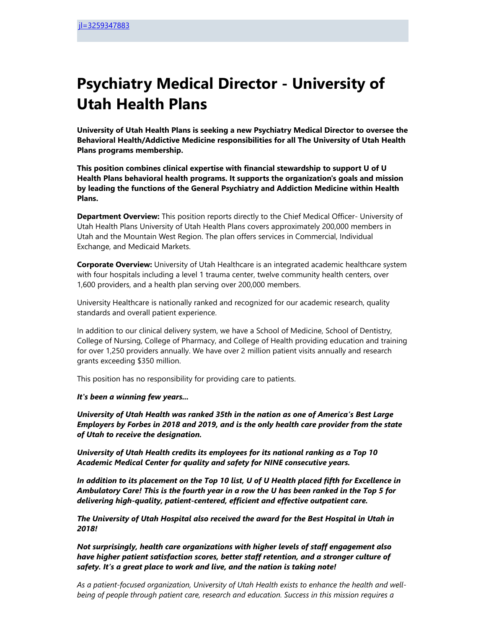# Psychiatry Medical Director - University of Utah Health Plans

University of Utah Health Plans is seeking a new Psychiatry Medical Director to oversee the Behavioral Health/Addictive Medicine responsibilities for all The University of Utah Health Plans programs membership.

This position combines clinical expertise with financial stewardship to support U of U Health Plans behavioral health programs. It supports the organization's goals and mission by leading the functions of the General Psychiatry and Addiction Medicine within Health Plans.

Department Overview: This position reports directly to the Chief Medical Officer- University of Utah Health Plans University of Utah Health Plans covers approximately 200,000 members in Utah and the Mountain West Region. The plan offers services in Commercial, Individual Exchange, and Medicaid Markets.

**Corporate Overview:** University of Utah Healthcare is an integrated academic healthcare system with four hospitals including a level 1 trauma center, twelve community health centers, over 1,600 providers, and a health plan serving over 200,000 members.

University Healthcare is nationally ranked and recognized for our academic research, quality standards and overall patient experience.

In addition to our clinical delivery system, we have a School of Medicine, School of Dentistry, College of Nursing, College of Pharmacy, and College of Health providing education and training for over 1,250 providers annually. We have over 2 million patient visits annually and research grants exceeding \$350 million.

This position has no responsibility for providing care to patients.

It's been a winning few years...

University of Utah Health was ranked 35th in the nation as one of America's Best Large Employers by Forbes in 2018 and 2019, and is the only health care provider from the state of Utah to receive the designation.

University of Utah Health credits its employees for its national ranking as a Top 10 Academic Medical Center for quality and safety for NINE consecutive years.

In addition to its placement on the Top 10 list, U of U Health placed fifth for Excellence in Ambulatory Care! This is the fourth year in a row the U has been ranked in the Top 5 for delivering high-quality, patient-centered, efficient and effective outpatient care.

The University of Utah Hospital also received the award for the Best Hospital in Utah in 2018!

Not surprisingly, health care organizations with higher levels of staff engagement also have higher patient satisfaction scores, better staff retention, and a stronger culture of safety. It's a great place to work and live, and the nation is taking note!

As a patient-focused organization, University of Utah Health exists to enhance the health and wellbeing of people through patient care, research and education. Success in this mission requires a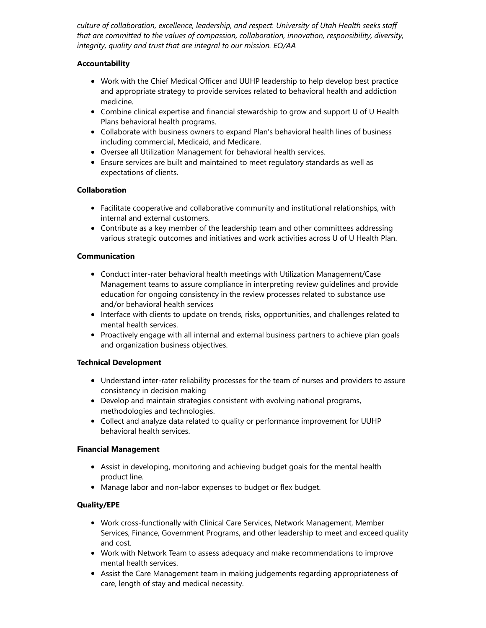culture of collaboration, excellence, leadership, and respect. University of Utah Health seeks staff that are committed to the values of compassion, collaboration, innovation, responsibility, diversity, integrity, quality and trust that are integral to our mission. EO/AA

# Accountability

- Work with the Chief Medical Officer and UUHP leadership to help develop best practice and appropriate strategy to provide services related to behavioral health and addiction medicine.
- Combine clinical expertise and financial stewardship to grow and support U of U Health Plans behavioral health programs.
- Collaborate with business owners to expand Plan's behavioral health lines of business including commercial, Medicaid, and Medicare.
- Oversee all Utilization Management for behavioral health services.
- Ensure services are built and maintained to meet regulatory standards as well as expectations of clients.

# Collaboration

- Facilitate cooperative and collaborative community and institutional relationships, with internal and external customers.
- Contribute as a key member of the leadership team and other committees addressing various strategic outcomes and initiatives and work activities across U of U Health Plan.

# Communication

- Conduct inter-rater behavioral health meetings with Utilization Management/Case Management teams to assure compliance in interpreting review guidelines and provide education for ongoing consistency in the review processes related to substance use and/or behavioral health services
- Interface with clients to update on trends, risks, opportunities, and challenges related to mental health services.
- Proactively engage with all internal and external business partners to achieve plan goals and organization business objectives.

# Technical Development

- Understand inter-rater reliability processes for the team of nurses and providers to assure consistency in decision making
- Develop and maintain strategies consistent with evolving national programs, methodologies and technologies.
- Collect and analyze data related to quality or performance improvement for UUHP behavioral health services.

# Financial Management

- Assist in developing, monitoring and achieving budget goals for the mental health product line.
- Manage labor and non-labor expenses to budget or flex budget.

# Quality/EPE

- Work cross-functionally with Clinical Care Services, Network Management, Member Services, Finance, Government Programs, and other leadership to meet and exceed quality and cost.
- Work with Network Team to assess adequacy and make recommendations to improve mental health services.
- Assist the Care Management team in making judgements regarding appropriateness of care, length of stay and medical necessity.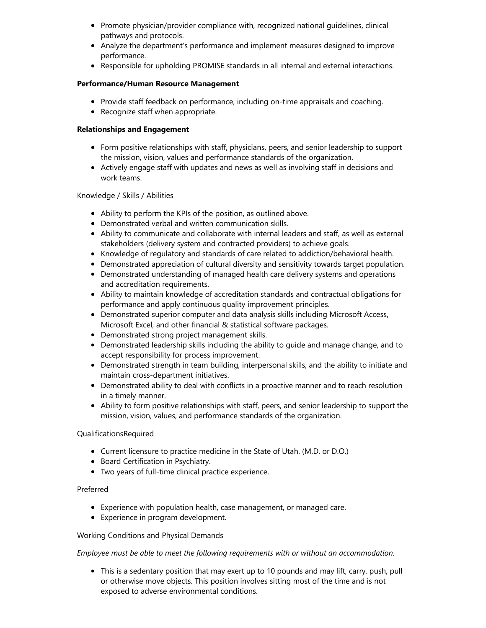- Promote physician/provider compliance with, recognized national guidelines, clinical pathways and protocols.
- Analyze the department's performance and implement measures designed to improve performance.
- Responsible for upholding PROMISE standards in all internal and external interactions.

# Performance/Human Resource Management

- Provide staff feedback on performance, including on-time appraisals and coaching.
- Recognize staff when appropriate.

# Relationships and Engagement

- Form positive relationships with staff, physicians, peers, and senior leadership to support the mission, vision, values and performance standards of the organization.
- Actively engage staff with updates and news as well as involving staff in decisions and work teams.

# Knowledge / Skills / Abilities

- Ability to perform the KPIs of the position, as outlined above.
- Demonstrated verbal and written communication skills.
- Ability to communicate and collaborate with internal leaders and staff, as well as external stakeholders (delivery system and contracted providers) to achieve goals.
- Knowledge of regulatory and standards of care related to addiction/behavioral health.
- Demonstrated appreciation of cultural diversity and sensitivity towards target population.
- Demonstrated understanding of managed health care delivery systems and operations and accreditation requirements.
- Ability to maintain knowledge of accreditation standards and contractual obligations for performance and apply continuous quality improvement principles.
- Demonstrated superior computer and data analysis skills including Microsoft Access, Microsoft Excel, and other financial & statistical software packages.
- Demonstrated strong project management skills.
- Demonstrated leadership skills including the ability to guide and manage change, and to accept responsibility for process improvement.
- Demonstrated strength in team building, interpersonal skills, and the ability to initiate and maintain cross-department initiatives.
- Demonstrated ability to deal with conflicts in a proactive manner and to reach resolution in a timely manner.
- Ability to form positive relationships with staff, peers, and senior leadership to support the mission, vision, values, and performance standards of the organization.

# QualificationsRequired

- Current licensure to practice medicine in the State of Utah. (M.D. or D.O.)
- **•** Board Certification in Psychiatry.
- Two years of full-time clinical practice experience.

# Preferred

- Experience with population health, case management, or managed care.
- Experience in program development.

#### Working Conditions and Physical Demands

Employee must be able to meet the following requirements with or without an accommodation.

This is a sedentary position that may exert up to 10 pounds and may lift, carry, push, pull or otherwise move objects. This position involves sitting most of the time and is not exposed to adverse environmental conditions.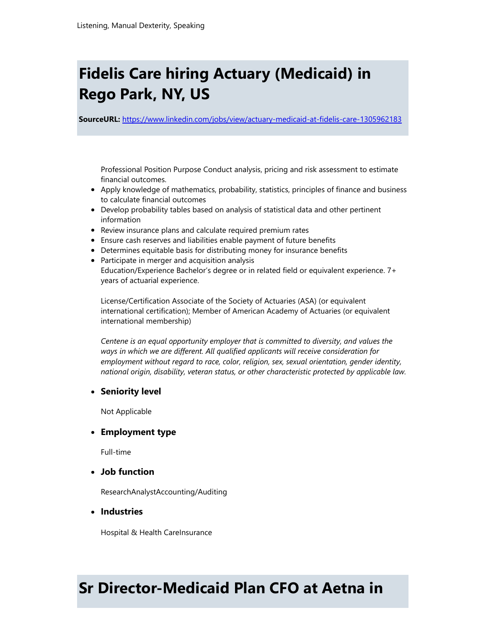# Fidelis Care hiring Actuary (Medicaid) in Rego Park, NY, US

SourceURL: <https://www.linkedin.com/jobs/view/actuary-medicaid-at-fidelis-care-1305962183>

Professional Position Purpose Conduct analysis, pricing and risk assessment to estimate financial outcomes.

- Apply knowledge of mathematics, probability, statistics, principles of finance and business to calculate financial outcomes
- Develop probability tables based on analysis of statistical data and other pertinent information
- Review insurance plans and calculate required premium rates
- Ensure cash reserves and liabilities enable payment of future benefits
- Determines equitable basis for distributing money for insurance benefits
- Participate in merger and acquisition analysis Education/Experience Bachelor's degree or in related field or equivalent experience. 7+ years of actuarial experience.

License/Certification Associate of the Society of Actuaries (ASA) (or equivalent international certification); Member of American Academy of Actuaries (or equivalent international membership)

Centene is an equal opportunity employer that is committed to diversity, and values the ways in which we are different. All qualified applicants will receive consideration for employment without regard to race, color, religion, sex, sexual orientation, gender identity, national origin, disability, veteran status, or other characteristic protected by applicable law.

# • Seniority level

Not Applicable

# Employment type

Full-time

Job function

ResearchAnalystAccounting/Auditing

• Industries

Hospital & Health CareInsurance

# Sr Director-Medicaid Plan CFO at Aetna in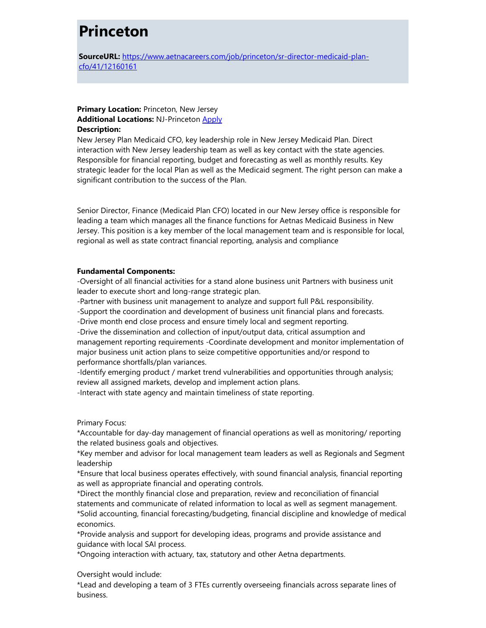# Princeton

SourceURL: [https://www.aetnacareers.com/job/princeton/sr-director-medicaid-plan](https://www.aetnacareers.com/job/princeton/sr-director-medicaid-plan-cfo/41/12160161)cfo/41/12160161

# Primary Location: Princeton, New Jersey Additional Locations: NJ-Princeton [Apply](https://sjobs.brassring.com/TGnewUI/Search/home/HomeWithPreLoad?PageType=JobDetails&partnerid=25276&siteid=5012&jobid=64847&utm_campaign=google_jobs_apply&utm_medium=organic&utm_source=google_jobs_apply) Description:

New Jersey Plan Medicaid CFO, key leadership role in New Jersey Medicaid Plan. Direct interaction with New Jersey leadership team as well as key contact with the state agencies. Responsible for financial reporting, budget and forecasting as well as monthly results. Key strategic leader for the local Plan as well as the Medicaid segment. The right person can make a significant contribution to the success of the Plan.

Senior Director, Finance (Medicaid Plan CFO) located in our New Jersey office is responsible for leading a team which manages all the finance functions for Aetnas Medicaid Business in New Jersey. This position is a key member of the local management team and is responsible for local, regional as well as state contract financial reporting, analysis and compliance

# Fundamental Components:

-Oversight of all financial activities for a stand alone business unit Partners with business unit leader to execute short and long-range strategic plan.

-Partner with business unit management to analyze and support full P&L responsibility.

-Support the coordination and development of business unit financial plans and forecasts.

-Drive month end close process and ensure timely local and segment reporting.

-Drive the dissemination and collection of input/output data, critical assumption and management reporting requirements -Coordinate development and monitor implementation of major business unit action plans to seize competitive opportunities and/or respond to performance shortfalls/plan variances.

-Identify emerging product / market trend vulnerabilities and opportunities through analysis; review all assigned markets, develop and implement action plans.

-Interact with state agency and maintain timeliness of state reporting.

Primary Focus:

\*Accountable for day-day management of financial operations as well as monitoring/ reporting the related business goals and objectives.

\*Key member and advisor for local management team leaders as well as Regionals and Segment leadership

\*Ensure that local business operates effectively, with sound financial analysis, financial reporting as well as appropriate financial and operating controls.

\*Direct the monthly financial close and preparation, review and reconciliation of financial statements and communicate of related information to local as well as segment management. \*Solid accounting, financial forecasting/budgeting, financial discipline and knowledge of medical economics.

\*Provide analysis and support for developing ideas, programs and provide assistance and guidance with local SAI process.

\*Ongoing interaction with actuary, tax, statutory and other Aetna departments.

Oversight would include:

\*Lead and developing a team of 3 FTEs currently overseeing financials across separate lines of business.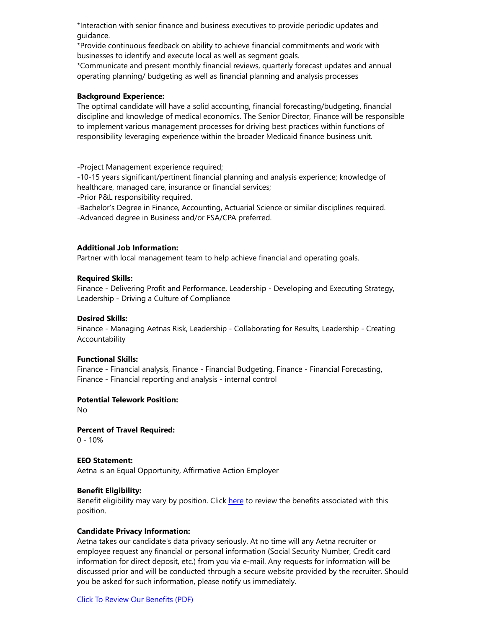\*Interaction with senior finance and business executives to provide periodic updates and guidance.

\*Provide continuous feedback on ability to achieve financial commitments and work with businesses to identify and execute local as well as segment goals.

\*Communicate and present monthly financial reviews, quarterly forecast updates and annual operating planning/ budgeting as well as financial planning and analysis processes

#### Background Experience:

The optimal candidate will have a solid accounting, financial forecasting/budgeting, financial discipline and knowledge of medical economics. The Senior Director, Finance will be responsible to implement various management processes for driving best practices within functions of responsibility leveraging experience within the broader Medicaid finance business unit.

-Project Management experience required;

-10-15 years significant/pertinent financial planning and analysis experience; knowledge of healthcare, managed care, insurance or financial services;

-Prior P&L responsibility required.

-Bachelor's Degree in Finance, Accounting, Actuarial Science or similar disciplines required. -Advanced degree in Business and/or FSA/CPA preferred.

#### Additional Job Information:

Partner with local management team to help achieve financial and operating goals.

#### Required Skills:

Finance - Delivering Profit and Performance, Leadership - Developing and Executing Strategy, Leadership - Driving a Culture of Compliance

#### Desired Skills:

Finance - Managing Aetnas Risk, Leadership - Collaborating for Results, Leadership - Creating Accountability

#### Functional Skills:

Finance - Financial analysis, Finance - Financial Budgeting, Finance - Financial Forecasting, Finance - Financial reporting and analysis - internal control

#### Potential Telework Position:

No

#### Percent of Travel Required:

0 - 10%

#### EEO Statement:

Aetna is an Equal Opportunity, Affirmative Action Employer

#### Benefit Eligibility:

Benefit eligibility may vary by position. Click [here](http://www.aetna.com/about-aetna-insurance/document-library/careers/benefits-rates.pdf) to review the benefits associated with this position.

#### Candidate Privacy Information:

Aetna takes our candidate's data privacy seriously. At no time will any Aetna recruiter or employee request any financial or personal information (Social Security Number, Credit card information for direct deposit, etc.) from you via e-mail. Any requests for information will be discussed prior and will be conducted through a secure website provided by the recruiter. Should you be asked for such information, please notify us immediately.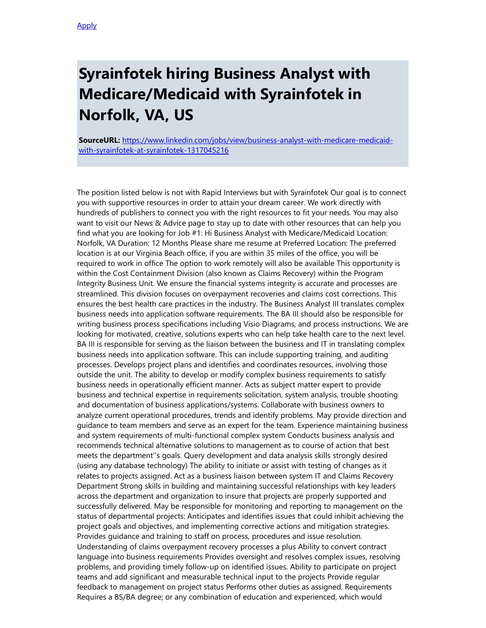# Syrainfotek hiring Business Analyst with Medicare/Medicaid with Syrainfotek in Norfolk, VA, US

SourceURL: [https://www.linkedin.com/jobs/view/business-analyst-with-medicare-medicaid](https://www.linkedin.com/jobs/view/business-analyst-with-medicare-medicaid-with-syrainfotek-at-syrainfotek-1317045216)with-syrainfotek-at-syrainfotek-1317045216

The position listed below is not with Rapid Interviews but with Syrainfotek Our goal is to connect you with supportive resources in order to attain your dream career. We work directly with hundreds of publishers to connect you with the right resources to fit your needs. You may also want to visit our News & Advice page to stay up to date with other resources that can help you find what you are looking for Job #1: Hi Business Analyst with Medicare/Medicaid Location: Norfolk, VA Duration: 12 Months Please share me resume at Preferred Location: The preferred location is at our Virginia Beach office, if you are within 35 miles of the office, you will be required to work in office The option to work remotely will also be available This opportunity is within the Cost Containment Division (also known as Claims Recovery) within the Program Integrity Business Unit. We ensure the financial systems integrity is accurate and processes are streamlined. This division focuses on overpayment recoveries and claims cost corrections. This ensures the best health care practices in the industry. The Business Analyst III translates complex business needs into application software requirements. The BA III should also be responsible for writing business process specifications including Visio Diagrams, and process instructions. We are looking for motivated, creative, solutions experts who can help take health care to the next level. BA III is responsible for serving as the liaison between the business and IT in translating complex business needs into application software. This can include supporting training, and auditing processes. Develops project plans and identifies and coordinates resources, involving those outside the unit. The ability to develop or modify complex business requirements to satisfy business needs in operationally efficient manner. Acts as subject matter expert to provide business and technical expertise in requirements solicitation, system analysis, trouble shooting and documentation of business applications/systems. Collaborate with business owners to analyze current operational procedures, trends and identify problems. May provide direction and guidance to team members and serve as an expert for the team. Experience maintaining business and system requirements of multi-functional complex system Conducts business analysis and recommends technical alternative solutions to management as to course of action that best meets the department''s goals. Query development and data analysis skills strongly desired (using any database technology) The ability to initiate or assist with testing of changes as it relates to projects assigned. Act as a business liaison between system IT and Claims Recovery Department Strong skills in building and maintaining successful relationships with key leaders across the department and organization to insure that projects are properly supported and successfully delivered. May be responsible for monitoring and reporting to management on the status of departmental projects: Anticipates and identifies issues that could inhibit achieving the project goals and objectives, and implementing corrective actions and mitigation strategies. Provides guidance and training to staff on process, procedures and issue resolution. Understanding of claims overpayment recovery processes a plus Ability to convert contract language into business requirements Provides oversight and resolves complex issues, resolving problems, and providing timely follow-up on identified issues. Ability to participate on project teams and add significant and measurable technical input to the projects Provide regular feedback to management on project status Performs other duties as assigned. Requirements Requires a BS/BA degree; or any combination of education and experienced, which would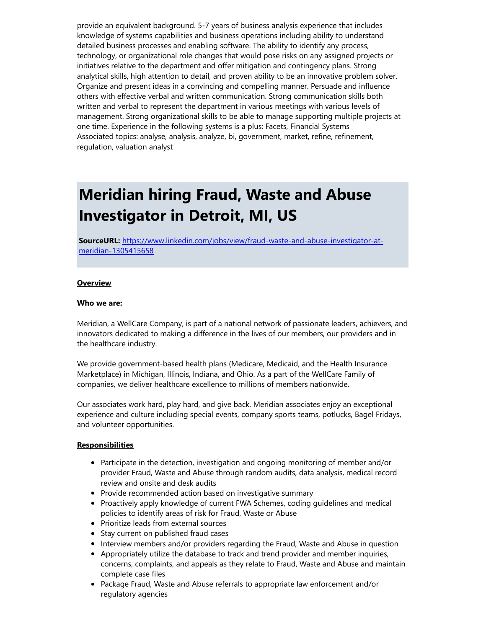provide an equivalent background. 5-7 years of business analysis experience that includes knowledge of systems capabilities and business operations including ability to understand detailed business processes and enabling software. The ability to identify any process, technology, or organizational role changes that would pose risks on any assigned projects or initiatives relative to the department and offer mitigation and contingency plans. Strong analytical skills, high attention to detail, and proven ability to be an innovative problem solver. Organize and present ideas in a convincing and compelling manner. Persuade and influence others with effective verbal and written communication. Strong communication skills both written and verbal to represent the department in various meetings with various levels of management. Strong organizational skills to be able to manage supporting multiple projects at one time. Experience in the following systems is a plus: Facets, Financial Systems Associated topics: analyse, analysis, analyze, bi, government, market, refine, refinement, regulation, valuation analyst

# Meridian hiring Fraud, Waste and Abuse Investigator in Detroit, MI, US

SourceURL: [https://www.linkedin.com/jobs/view/fraud-waste-and-abuse-investigator-at](https://www.linkedin.com/jobs/view/fraud-waste-and-abuse-investigator-at-meridian-1305415658)meridian-1305415658

#### **Overview**

#### Who we are:

Meridian, a WellCare Company, is part of a national network of passionate leaders, achievers, and innovators dedicated to making a difference in the lives of our members, our providers and in the healthcare industry.

We provide government-based health plans (Medicare, Medicaid, and the Health Insurance Marketplace) in Michigan, Illinois, Indiana, and Ohio. As a part of the WellCare Family of companies, we deliver healthcare excellence to millions of members nationwide.

Our associates work hard, play hard, and give back. Meridian associates enjoy an exceptional experience and culture including special events, company sports teams, potlucks, Bagel Fridays, and volunteer opportunities.

#### **Responsibilities**

- Participate in the detection, investigation and ongoing monitoring of member and/or provider Fraud, Waste and Abuse through random audits, data analysis, medical record review and onsite and desk audits
- Provide recommended action based on investigative summary
- Proactively apply knowledge of current FWA Schemes, coding guidelines and medical policies to identify areas of risk for Fraud, Waste or Abuse
- Prioritize leads from external sources
- Stay current on published fraud cases
- Interview members and/or providers regarding the Fraud, Waste and Abuse in question
- Appropriately utilize the database to track and trend provider and member inquiries, concerns, complaints, and appeals as they relate to Fraud, Waste and Abuse and maintain complete case files
- Package Fraud, Waste and Abuse referrals to appropriate law enforcement and/or regulatory agencies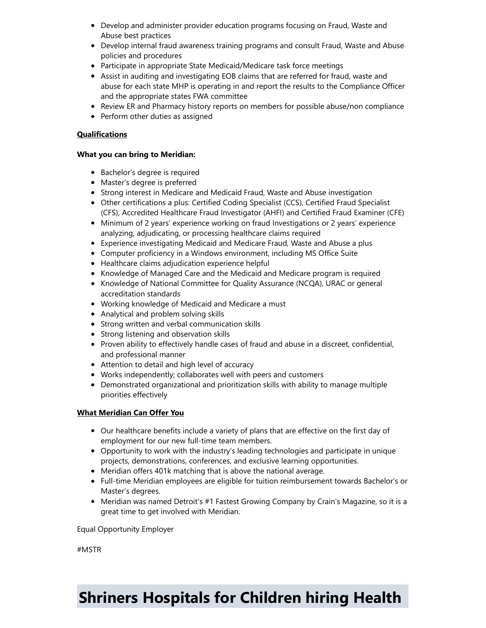- Develop and administer provider education programs focusing on Fraud, Waste and Abuse best practices
- Develop internal fraud awareness training programs and consult Fraud, Waste and Abuse policies and procedures
- Participate in appropriate State Medicaid/Medicare task force meetings
- Assist in auditing and investigating EOB claims that are referred for fraud, waste and abuse for each state MHP is operating in and report the results to the Compliance Officer and the appropriate states FWA committee
- Review ER and Pharmacy history reports on members for possible abuse/non compliance
- Perform other duties as assigned

### **Qualifications**

#### What you can bring to Meridian:

- Bachelor's degree is required
- Master's degree is preferred
- Strong interest in Medicare and Medicaid Fraud, Waste and Abuse investigation
- Other certifications a plus: Certified Coding Specialist (CCS), Certified Fraud Specialist (CFS), Accredited Healthcare Fraud Investigator (AHFI) and Certified Fraud Examiner (CFE)
- Minimum of 2 years' experience working on fraud Investigations or 2 years' experience analyzing, adjudicating, or processing healthcare claims required
- Experience investigating Medicaid and Medicare Fraud, Waste and Abuse a plus
- Computer proficiency in a Windows environment, including MS Office Suite
- Healthcare claims adjudication experience helpful
- Knowledge of Managed Care and the Medicaid and Medicare program is required
- Knowledge of National Committee for Quality Assurance (NCQA), URAC or general accreditation standards
- Working knowledge of Medicaid and Medicare a must
- Analytical and problem solving skills
- Strong written and verbal communication skills
- Strong listening and observation skills
- Proven ability to effectively handle cases of fraud and abuse in a discreet, confidential, and professional manner
- Attention to detail and high level of accuracy
- Works independently; collaborates well with peers and customers
- Demonstrated organizational and prioritization skills with ability to manage multiple priorities effectively

#### What Meridian Can Offer You

- Our healthcare benefits include a variety of plans that are effective on the first day of employment for our new full-time team members.
- Opportunity to work with the industry's leading technologies and participate in unique projects, demonstrations, conferences, and exclusive learning opportunities.
- Meridian offers 401k matching that is above the national average.
- Full-time Meridian employees are eligible for tuition reimbursement towards Bachelor's or Master's degrees.
- Meridian was named Detroit's #1 Fastest Growing Company by Crain's Magazine, so it is a great time to get involved with Meridian.

Equal Opportunity Employer

#MSTR

# Shriners Hospitals for Children hiring Health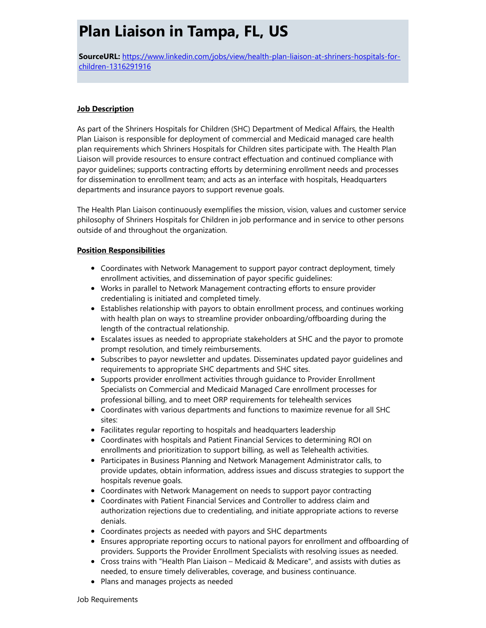# Plan Liaison in Tampa, FL, US

SourceURL: [https://www.linkedin.com/jobs/view/health-plan-liaison-at-shriners-hospitals-for](https://www.linkedin.com/jobs/view/health-plan-liaison-at-shriners-hospitals-for-children-1316291916)children-1316291916

# **Job Description**

As part of the Shriners Hospitals for Children (SHC) Department of Medical Affairs, the Health Plan Liaison is responsible for deployment of commercial and Medicaid managed care health plan requirements which Shriners Hospitals for Children sites participate with. The Health Plan Liaison will provide resources to ensure contract effectuation and continued compliance with payor guidelines; supports contracting efforts by determining enrollment needs and processes for dissemination to enrollment team; and acts as an interface with hospitals, Headquarters departments and insurance payors to support revenue goals.

The Health Plan Liaison continuously exemplifies the mission, vision, values and customer service philosophy of Shriners Hospitals for Children in job performance and in service to other persons outside of and throughout the organization.

# Position Responsibilities

- Coordinates with Network Management to support payor contract deployment, timely enrollment activities, and dissemination of payor specific guidelines:
- Works in parallel to Network Management contracting efforts to ensure provider credentialing is initiated and completed timely.
- Establishes relationship with payors to obtain enrollment process, and continues working with health plan on ways to streamline provider onboarding/offboarding during the length of the contractual relationship.
- Escalates issues as needed to appropriate stakeholders at SHC and the payor to promote prompt resolution, and timely reimbursements.
- Subscribes to payor newsletter and updates. Disseminates updated payor quidelines and requirements to appropriate SHC departments and SHC sites.
- Supports provider enrollment activities through guidance to Provider Enrollment Specialists on Commercial and Medicaid Managed Care enrollment processes for professional billing, and to meet ORP requirements for telehealth services
- Coordinates with various departments and functions to maximize revenue for all SHC sites:
- Facilitates regular reporting to hospitals and headquarters leadership
- Coordinates with hospitals and Patient Financial Services to determining ROI on enrollments and prioritization to support billing, as well as Telehealth activities.
- Participates in Business Planning and Network Management Administrator calls, to provide updates, obtain information, address issues and discuss strategies to support the hospitals revenue goals.
- Coordinates with Network Management on needs to support payor contracting
- Coordinates with Patient Financial Services and Controller to address claim and authorization rejections due to credentialing, and initiate appropriate actions to reverse denials.
- Coordinates projects as needed with payors and SHC departments
- Ensures appropriate reporting occurs to national payors for enrollment and offboarding of providers. Supports the Provider Enrollment Specialists with resolving issues as needed.
- Cross trains with "Health Plan Liaison Medicaid & Medicare", and assists with duties as needed, to ensure timely deliverables, coverage, and business continuance.
- Plans and manages projects as needed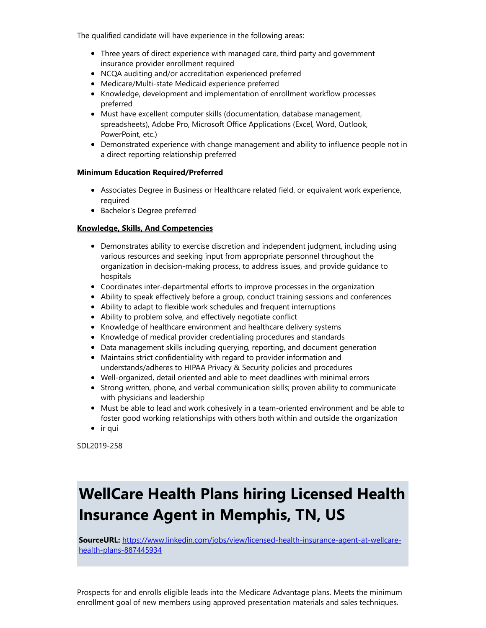The qualified candidate will have experience in the following areas:

- Three years of direct experience with managed care, third party and government insurance provider enrollment required
- NCQA auditing and/or accreditation experienced preferred
- Medicare/Multi-state Medicaid experience preferred
- Knowledge, development and implementation of enrollment workflow processes preferred
- Must have excellent computer skills (documentation, database management, spreadsheets), Adobe Pro, Microsoft Office Applications (Excel, Word, Outlook, PowerPoint, etc.)
- Demonstrated experience with change management and ability to influence people not in a direct reporting relationship preferred

# Minimum Education Required/Preferred

- Associates Degree in Business or Healthcare related field, or equivalent work experience, required
- Bachelor's Degree preferred

# Knowledge, Skills, And Competencies

- Demonstrates ability to exercise discretion and independent judgment, including using various resources and seeking input from appropriate personnel throughout the organization in decision-making process, to address issues, and provide guidance to hospitals
- Coordinates inter-departmental efforts to improve processes in the organization
- Ability to speak effectively before a group, conduct training sessions and conferences
- Ability to adapt to flexible work schedules and frequent interruptions
- Ability to problem solve, and effectively negotiate conflict
- Knowledge of healthcare environment and healthcare delivery systems
- Knowledge of medical provider credentialing procedures and standards
- Data management skills including querying, reporting, and document generation
- Maintains strict confidentiality with regard to provider information and understands/adheres to HIPAA Privacy & Security policies and procedures
- Well-organized, detail oriented and able to meet deadlines with minimal errors
- Strong written, phone, and verbal communication skills; proven ability to communicate with physicians and leadership
- Must be able to lead and work cohesively in a team-oriented environment and be able to foster good working relationships with others both within and outside the organization
- $\bullet$  ir qui

SDL2019-258

# WellCare Health Plans hiring Licensed Health Insurance Agent in Memphis, TN, US

SourceURL: [https://www.linkedin.com/jobs/view/licensed-health-insurance-agent-at-wellcare](https://www.linkedin.com/jobs/view/licensed-health-insurance-agent-at-wellcare-health-plans-887445934)health-plans-887445934

Prospects for and enrolls eligible leads into the Medicare Advantage plans. Meets the minimum enrollment goal of new members using approved presentation materials and sales techniques.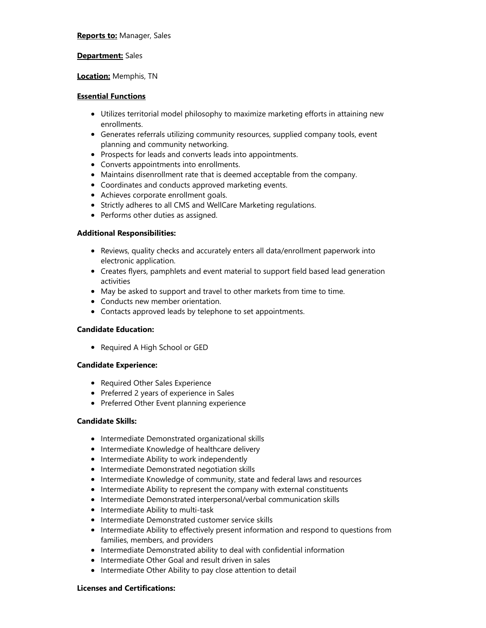# **Department: Sales**

# Location: Memphis, TN

# Essential Functions

- Utilizes territorial model philosophy to maximize marketing efforts in attaining new enrollments.
- Generates referrals utilizing community resources, supplied company tools, event planning and community networking.
- Prospects for leads and converts leads into appointments.
- Converts appointments into enrollments.
- Maintains disenrollment rate that is deemed acceptable from the company.
- Coordinates and conducts approved marketing events.
- Achieves corporate enrollment goals.
- Strictly adheres to all CMS and WellCare Marketing regulations.
- Performs other duties as assigned.

# Additional Responsibilities:

- Reviews, quality checks and accurately enters all data/enrollment paperwork into electronic application.
- Creates flyers, pamphlets and event material to support field based lead generation activities
- May be asked to support and travel to other markets from time to time.
- Conducts new member orientation.
- Contacts approved leads by telephone to set appointments.

#### Candidate Education:

• Required A High School or GED

#### Candidate Experience:

- Required Other Sales Experience
- Preferred 2 years of experience in Sales
- Preferred Other Event planning experience

#### Candidate Skills:

- Intermediate Demonstrated organizational skills
- Intermediate Knowledge of healthcare delivery
- Intermediate Ability to work independently
- Intermediate Demonstrated negotiation skills
- Intermediate Knowledge of community, state and federal laws and resources
- Intermediate Ability to represent the company with external constituents
- Intermediate Demonstrated interpersonal/verbal communication skills
- Intermediate Ability to multi-task
- Intermediate Demonstrated customer service skills
- Intermediate Ability to effectively present information and respond to questions from families, members, and providers
- Intermediate Demonstrated ability to deal with confidential information
- Intermediate Other Goal and result driven in sales
- Intermediate Other Ability to pay close attention to detail

#### Licenses and Certifications: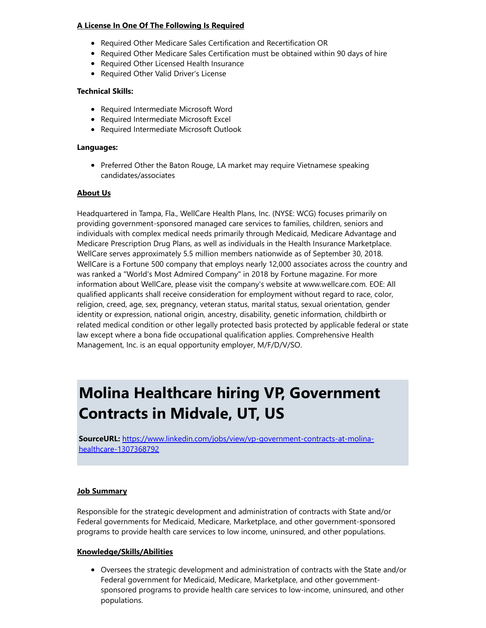### A License In One Of The Following Is Required

- Required Other Medicare Sales Certification and Recertification OR
- Required Other Medicare Sales Certification must be obtained within 90 days of hire
- Required Other Licensed Health Insurance
- Required Other Valid Driver's License

# Technical Skills:

- Required Intermediate Microsoft Word
- Required Intermediate Microsoft Excel
- Required Intermediate Microsoft Outlook

# Languages:

• Preferred Other the Baton Rouge, LA market may require Vietnamese speaking candidates/associates

# About Us

Headquartered in Tampa, Fla., WellCare Health Plans, Inc. (NYSE: WCG) focuses primarily on providing government-sponsored managed care services to families, children, seniors and individuals with complex medical needs primarily through Medicaid, Medicare Advantage and Medicare Prescription Drug Plans, as well as individuals in the Health Insurance Marketplace. WellCare serves approximately 5.5 million members nationwide as of September 30, 2018. WellCare is a Fortune 500 company that employs nearly 12,000 associates across the country and was ranked a "World's Most Admired Company" in 2018 by Fortune magazine. For more information about WellCare, please visit the company's website at www.wellcare.com. EOE: All qualified applicants shall receive consideration for employment without regard to race, color, religion, creed, age, sex, pregnancy, veteran status, marital status, sexual orientation, gender identity or expression, national origin, ancestry, disability, genetic information, childbirth or related medical condition or other legally protected basis protected by applicable federal or state law except where a bona fide occupational qualification applies. Comprehensive Health Management, Inc. is an equal opportunity employer, M/F/D/V/SO.

# Molina Healthcare hiring VP, Government Contracts in Midvale, UT, US

SourceURL: [https://www.linkedin.com/jobs/view/vp-government-contracts-at-molina](https://www.linkedin.com/jobs/view/vp-government-contracts-at-molina-healthcare-1307368792)healthcare-1307368792

# **Job Summary**

Responsible for the strategic development and administration of contracts with State and/or Federal governments for Medicaid, Medicare, Marketplace, and other government-sponsored programs to provide health care services to low income, uninsured, and other populations.

# Knowledge/Skills/Abilities

Oversees the strategic development and administration of contracts with the State and/or Federal government for Medicaid, Medicare, Marketplace, and other governmentsponsored programs to provide health care services to low-income, uninsured, and other populations.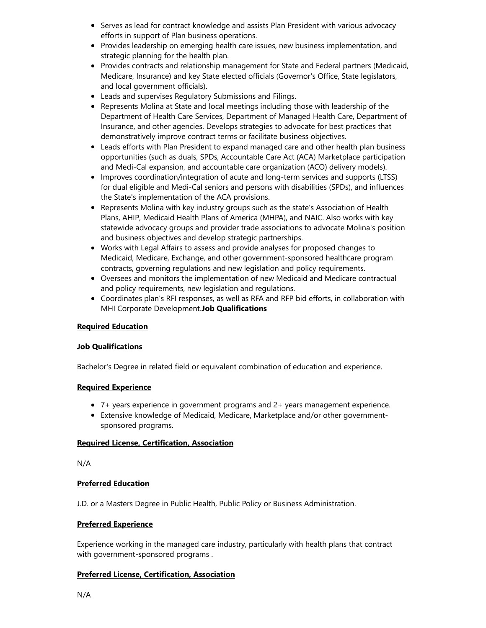- Serves as lead for contract knowledge and assists Plan President with various advocacy efforts in support of Plan business operations.
- Provides leadership on emerging health care issues, new business implementation, and strategic planning for the health plan.
- Provides contracts and relationship management for State and Federal partners (Medicaid, Medicare, Insurance) and key State elected officials (Governor's Office, State legislators, and local government officials).
- Leads and supervises Regulatory Submissions and Filings.
- Represents Molina at State and local meetings including those with leadership of the Department of Health Care Services, Department of Managed Health Care, Department of Insurance, and other agencies. Develops strategies to advocate for best practices that demonstratively improve contract terms or facilitate business objectives.
- Leads efforts with Plan President to expand managed care and other health plan business opportunities (such as duals, SPDs, Accountable Care Act (ACA) Marketplace participation and Medi-Cal expansion, and accountable care organization (ACO) delivery models).
- Improves coordination/integration of acute and long-term services and supports (LTSS) for dual eligible and Medi-Cal seniors and persons with disabilities (SPDs), and influences the State's implementation of the ACA provisions.
- Represents Molina with key industry groups such as the state's Association of Health Plans, AHIP, Medicaid Health Plans of America (MHPA), and NAIC. Also works with key statewide advocacy groups and provider trade associations to advocate Molina's position and business objectives and develop strategic partnerships.
- Works with Legal Affairs to assess and provide analyses for proposed changes to Medicaid, Medicare, Exchange, and other government-sponsored healthcare program contracts, governing regulations and new legislation and policy requirements.
- Oversees and monitors the implementation of new Medicaid and Medicare contractual and policy requirements, new legislation and regulations.
- Coordinates plan's RFI responses, as well as RFA and RFP bid efforts, in collaboration with MHI Corporate Development. Job Qualifications

# Required Education

# Job Qualifications

Bachelor's Degree in related field or equivalent combination of education and experience.

# Required Experience

- 7+ years experience in government programs and 2+ years management experience.
- Extensive knowledge of Medicaid, Medicare, Marketplace and/or other governmentsponsored programs.

# Required License, Certification, Association

N/A

#### Preferred Education

J.D. or a Masters Degree in Public Health, Public Policy or Business Administration.

#### Preferred Experience

Experience working in the managed care industry, particularly with health plans that contract with government-sponsored programs .

# Preferred License, Certification, Association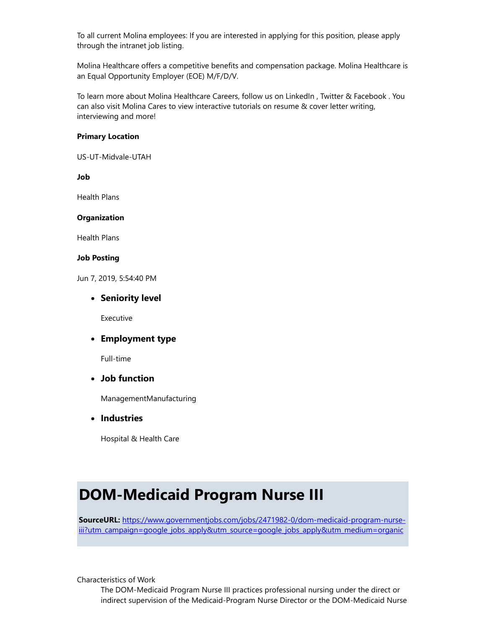To all current Molina employees: If you are interested in applying for this position, please apply through the intranet job listing.

Molina Healthcare offers a competitive benefits and compensation package. Molina Healthcare is an Equal Opportunity Employer (EOE) M/F/D/V.

To learn more about Molina Healthcare Careers, follow us on LinkedIn , Twitter & Facebook . You can also visit Molina Cares to view interactive tutorials on resume & cover letter writing, interviewing and more!

#### Primary Location

US-UT-Midvale-UTAH

Job

Health Plans

#### **Organization**

Health Plans

#### Job Posting

Jun 7, 2019, 5:54:40 PM

#### • Seniority level

Executive

• Employment type

Full-time

Job function

ManagementManufacturing

• Industries

Hospital & Health Care

# DOM-Medicaid Program Nurse III

SourceURL: https://www.governmentjobs.com/jobs/2471982-0/dom-medicaid-program-nurse[iii?utm\\_campaign=google\\_jobs\\_apply&utm\\_source=google\\_jobs\\_apply&utm\\_medium=organic](https://www.governmentjobs.com/jobs/2471982-0/dom-medicaid-program-nurse-iii?utm_campaign=google_jobs_apply&utm_source=google_jobs_apply&utm_medium=organic)

Characteristics of Work

The DOM-Medicaid Program Nurse III practices professional nursing under the direct or indirect supervision of the Medicaid-Program Nurse Director or the DOM-Medicaid Nurse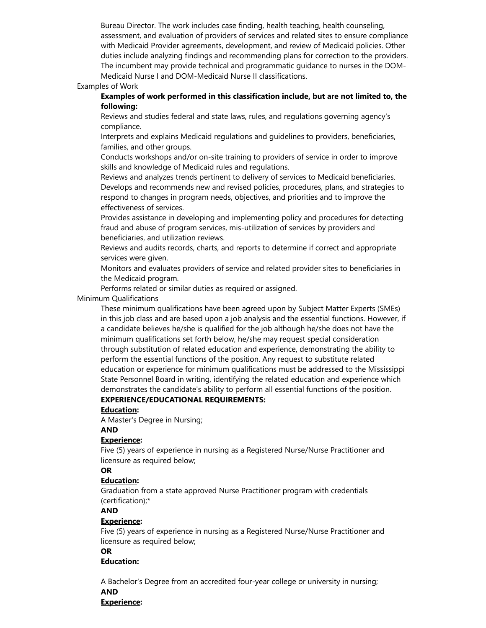Bureau Director. The work includes case finding, health teaching, health counseling, assessment, and evaluation of providers of services and related sites to ensure compliance with Medicaid Provider agreements, development, and review of Medicaid policies. Other duties include analyzing findings and recommending plans for correction to the providers. The incumbent may provide technical and programmatic guidance to nurses in the DOM-Medicaid Nurse I and DOM-Medicaid Nurse II classifications.

#### Examples of Work

# Examples of work performed in this classification include, but are not limited to, the following:

Reviews and studies federal and state laws, rules, and regulations governing agency's compliance.

Interprets and explains Medicaid regulations and guidelines to providers, beneficiaries, families, and other groups.

Conducts workshops and/or on-site training to providers of service in order to improve skills and knowledge of Medicaid rules and regulations.

Reviews and analyzes trends pertinent to delivery of services to Medicaid beneficiaries. Develops and recommends new and revised policies, procedures, plans, and strategies to respond to changes in program needs, objectives, and priorities and to improve the effectiveness of services.

Provides assistance in developing and implementing policy and procedures for detecting fraud and abuse of program services, mis-utilization of services by providers and beneficiaries, and utilization reviews.

Reviews and audits records, charts, and reports to determine if correct and appropriate services were given.

Monitors and evaluates providers of service and related provider sites to beneficiaries in the Medicaid program.

Performs related or similar duties as required or assigned.

#### Minimum Qualifications

These minimum qualifications have been agreed upon by Subject Matter Experts (SMEs) in this job class and are based upon a job analysis and the essential functions. However, if a candidate believes he/she is qualified for the job although he/she does not have the minimum qualifications set forth below, he/she may request special consideration through substitution of related education and experience, demonstrating the ability to perform the essential functions of the position. Any request to substitute related education or experience for minimum qualifications must be addressed to the Mississippi State Personnel Board in writing, identifying the related education and experience which demonstrates the candidate's ability to perform all essential functions of the position.

# EXPERIENCE/EDUCATIONAL REQUIREMENTS:

#### Education:

A Master's Degree in Nursing;

#### AND

### Experience:

Five (5) years of experience in nursing as a Registered Nurse/Nurse Practitioner and licensure as required below;

# OR

# Education:

Graduation from a state approved Nurse Practitioner program with credentials (certification);\*

# AND

#### Experience:

Five (5) years of experience in nursing as a Registered Nurse/Nurse Practitioner and licensure as required below;

#### **OR**

### Education:

A Bachelor's Degree from an accredited four-year college or university in nursing; AND

# Experience: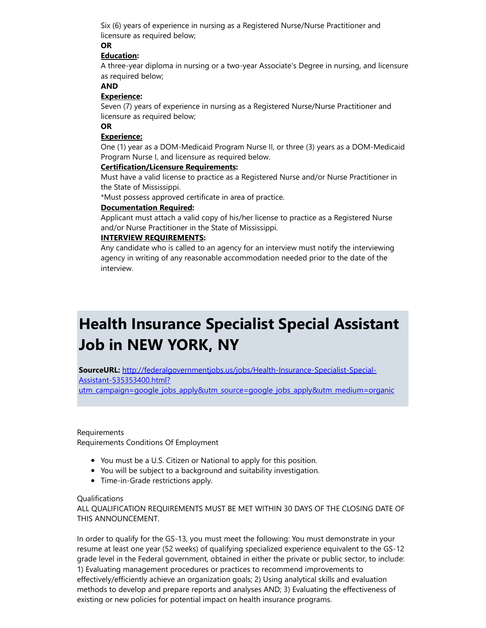Six (6) years of experience in nursing as a Registered Nurse/Nurse Practitioner and licensure as required below;

# **OR**

# Education:

A three-year diploma in nursing or a two-year Associate's Degree in nursing, and licensure as required below;

# AND

# Experience:

Seven (7) years of experience in nursing as a Registered Nurse/Nurse Practitioner and licensure as required below;

# **OR**

# Experience:

One (1) year as a DOM-Medicaid Program Nurse II, or three (3) years as a DOM-Medicaid Program Nurse I, and licensure as required below.

# Certification/Licensure Requirements:

Must have a valid license to practice as a Registered Nurse and/or Nurse Practitioner in the State of Mississippi.

\*Must possess approved certificate in area of practice.

# Documentation Required:

Applicant must attach a valid copy of his/her license to practice as a Registered Nurse and/or Nurse Practitioner in the State of Mississippi.

# INTERVIEW REQUIREMENTS:

Any candidate who is called to an agency for an interview must notify the interviewing agency in writing of any reasonable accommodation needed prior to the date of the interview.

# Health Insurance Specialist Special Assistant Job in NEW YORK, NY

SourceURL: http://federalgovernmentjobs.us/jobs/Health-Insurance-Specialist-Special-Assistant-535353400.html?

[utm\\_campaign=google\\_jobs\\_apply&utm\\_source=google\\_jobs\\_apply&utm\\_medium=organic](http://federalgovernmentjobs.us/jobs/Health-Insurance-Specialist-Special-Assistant-535353400.html?utm_campaign=google_jobs_apply&utm_source=google_jobs_apply&utm_medium=organic)

Requirements

Requirements Conditions Of Employment

- You must be a U.S. Citizen or National to apply for this position.
- You will be subject to a background and suitability investigation.
- Time-in-Grade restrictions apply.

#### Qualifications

ALL QUALIFICATION REQUIREMENTS MUST BE MET WITHIN 30 DAYS OF THE CLOSING DATE OF THIS ANNOUNCEMENT.

In order to qualify for the GS-13, you must meet the following: You must demonstrate in your resume at least one year (52 weeks) of qualifying specialized experience equivalent to the GS-12 grade level in the Federal government, obtained in either the private or public sector, to include: 1) Evaluating management procedures or practices to recommend improvements to effectively/efficiently achieve an organization goals; 2) Using analytical skills and evaluation methods to develop and prepare reports and analyses AND; 3) Evaluating the effectiveness of existing or new policies for potential impact on health insurance programs.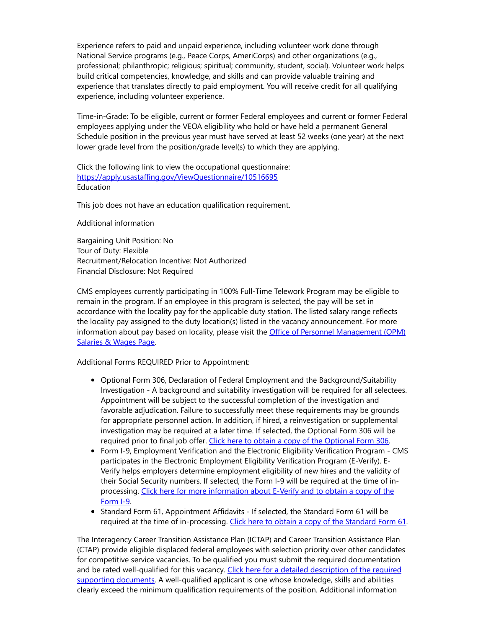Experience refers to paid and unpaid experience, including volunteer work done through National Service programs (e.g., Peace Corps, AmeriCorps) and other organizations (e.g., professional; philanthropic; religious; spiritual; community, student, social). Volunteer work helps build critical competencies, knowledge, and skills and can provide valuable training and experience that translates directly to paid employment. You will receive credit for all qualifying experience, including volunteer experience.

Time-in-Grade: To be eligible, current or former Federal employees and current or former Federal employees applying under the VEOA eligibility who hold or have held a permanent General Schedule position in the previous year must have served at least 52 weeks (one year) at the next lower grade level from the position/grade level(s) to which they are applying.

Click the following link to view the occupational questionnaire: [https://apply.usastaffing.gov/ViewQuestionnaire/10516695](http://federalgovernmentjobs.us/redirect.html?url=104116116112115058047047097112112108121046117115097115116097102102105110103046103111118047086105101119081117101115116105111110110097105114101047049048053049054054057053) Education

This job does not have an education qualification requirement.

Additional information

Bargaining Unit Position: No Tour of Duty: Flexible Recruitment/Relocation Incentive: Not Authorized Financial Disclosure: Not Required

CMS employees currently participating in 100% Full-Time Telework Program may be eligible to remain in the program. If an employee in this program is selected, the pay will be set in accordance with the locality pay for the applicable duty station. The listed salary range reflects the locality pay assigned to the duty location(s) listed in the vacancy announcement. For more [information about pay based on locality, please visit the Office of Personnel Management \(OPM\)](http://federalgovernmentjobs.us/redirect.html?url=104116116112058047047119119119046111112109046103111118047112111108105099121045100097116097045111118101114115105103104116047112097121045108101097118101047115097108097114105101115045119097103101115047) Salaries & Wages Page.

Additional Forms REQUIRED Prior to Appointment:

- Optional Form 306, Declaration of Federal Employment and the Background/Suitability Investigation - A background and suitability investigation will be required for all selectees. Appointment will be subject to the successful completion of the investigation and favorable adjudication. Failure to successfully meet these requirements may be grounds for appropriate personnel action. In addition, if hired, a reinvestigation or supplemental investigation may be required at a later time. If selected, the Optional Form 306 will be required prior to final job offer. [Click here to obtain a copy of the Optional Form 306](http://federalgovernmentjobs.us/redirect.html?url=104116116112058047047119119119046111112109046103111118047102111114109115047112100102095102105108108047079070048051048054046112100102).
- Form I-9, Employment Verification and the Electronic Eligibility Verification Program CMS participates in the Electronic Employment Eligibility Verification Program (E-Verify). E-Verify helps employers determine employment eligibility of new hires and the validity of their Social Security numbers. If selected, the Form I-9 will be required at the time of in[processing. Click here for more information about E-Verify and to obtain a copy of the](http://federalgovernmentjobs.us/redirect.html?url=104116116112058047047119119119046117115099105115046103111118047101045118101114105102121047101109112108111121101101115047101045118101114105102121045111118101114118105101119) Form I-9.
- Standard Form 61, Appointment Affidavits If selected, the Standard Form 61 will be required at the time of in-processing. [Click here to obtain a copy of the Standard Form 61.](http://federalgovernmentjobs.us/redirect.html?url=104116116112058047047119119119046111112109046103111118047102111114109115047112100102095102105108108047115102054049046112100102)

The Interagency Career Transition Assistance Plan (ICTAP) and Career Transition Assistance Plan (CTAP) provide eligible displaced federal employees with selection priority over other candidates for competitive service vacancies. To be qualified you must submit the required documentation [and be rated well-qualified for this vacancy. Click here for a detailed description of the required](http://federalgovernmentjobs.us/redirect.html?url=104116116112058047047119119119046099109115046103111118047065098111117116045067077083047067097114101101114045073110102111114109097116105111110047067097114101101114115097116067077083047068111119110108111097100115047082101113117105114101100068111099117109101110116115045046112100102) supporting documents. A well-qualified applicant is one whose knowledge, skills and abilities clearly exceed the minimum qualification requirements of the position. Additional information